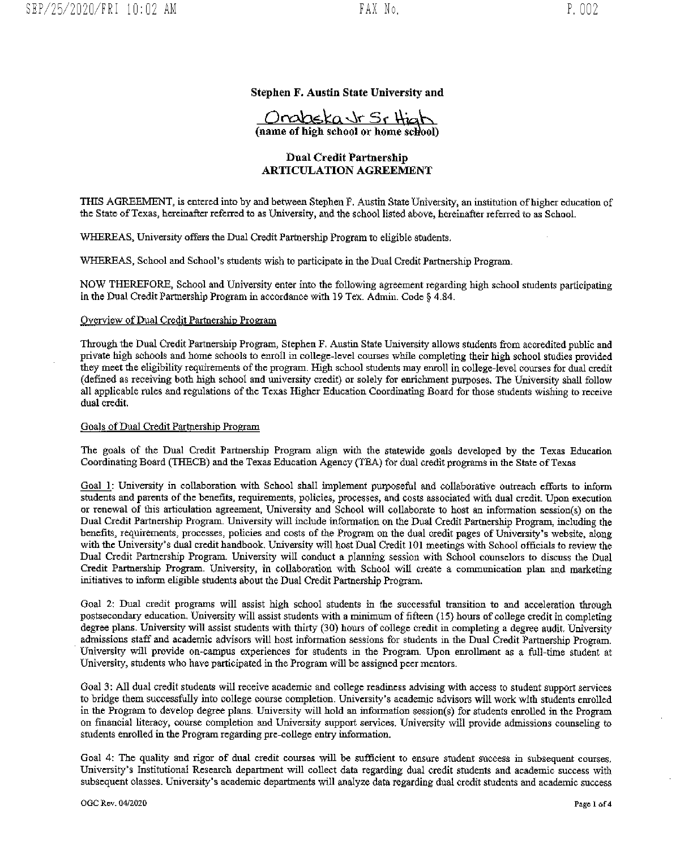## Stephen F. Austin State University and

Orobska Jr Sr High

## Dual Credit Partnership ARTICULATION AGREEMENT

THIS AGREEMENT, is entered into by and between Stephen F. Austin State University, an institution of higher education of the State ofTexas, hereinafter referred to as University, and the school listed above, hereinafter referred to as SchooL

WHEREAS, University offers the Dual Credit Partnership Program to eligible students.

WHEREAS, School and School's students wish to participate in the Dual Credit Partnership Program.

NOW THEREFORE, School and University enter into the following agreement regarding high school students participating in the Dual Credit Partnership Program in accordance with 19 Tex. Admin. Code § 4.84.

## Overview of Dual Credit Partnership Program

Through the Dual Credit Partnership Program, Stephen F. Austin State University allows students from accredited public and private high schools and home schools to entoil in college-level courses while completing their high school studies provided they meet the eligibility requirements of the program. High school students may enroll in college-level courses for dual credit (defined as receiving both high school and university credit) or solely for enrichment purposes. The University shall follow all applicable rules and regulations of the Texas Higher Education Coordinating Board for those students wishing to receive dual credit.

## Goals of Dual Credit Partnership Program

The goals of the Dual Credit Partnership Program align with the statewide goals developed by the Texas Education Coordinating Board (THECB) and the Texas Education Agency (TEA) for dual credit programs in the State of Texas

Goal 1: University in collaboration with School shall implement purposeful and collaborative outreach efforts to inform students and parents of the benefits, requirements, policies, processes, and costs associated with dual credit. Upon execution or renewal of this articulation agreement, University and School will collaborate to host an information session(s) on the Dual Credit Partnership Program. University will include information on the Dual Credit Partnership Program, including the benefits, requirements, processes, policies and costs of the Program on the dual credit pages of University's website, along with the University's dual credit handbook, University will host Dual Credit 101 meetings with School officials to review the Dual Credit Partnership Program. University will conduct a planning session with School counselors to discuss the Dual Credit Partnership Program. University, in collaboration with School will create a communication plan and marketing initiatives to inform eligible students about the Dual Credit Partnership Program.

Goal 2: Dual credit programs will assist high school students in the successful transition to and acceleration through postsecondary education. University will assist students with <sup>a</sup> minimum of fifteen (15) hours of college credit in completing degree plans. University will assist students with thirty (30) hours of college credit in completing a degree audit. University admissions staff and academic advisors will host information sessions for students in the Dual Credit Partnership Program. University will provide on-campus experiences for students in the Program. Upon enrollment as a full-time student at University, students who have participated in the Program wifi be assigned peer mentors.

Goal 3: All dual credit students will receive academic and college readiness advising with access to student support services to bridge them successfully into college course completion. University's academic advisors will work with students enrolled in the Program to develop degree plans. University will hold an information session(s) for students enrolled in the Program on financial literacy, course completion and University support services. University will provide admissions counseling to students enrolled in the Program regarding pre-college entry information.

Goal 4: The quality and rigor of dual credit courses will be sufficient to ensure student success in subsequent courses, University's Institutional Research department will collect data regarding dual credit students and academic success with subsequent classes. University's academic departments will analyze data regarding dual credit students and academic success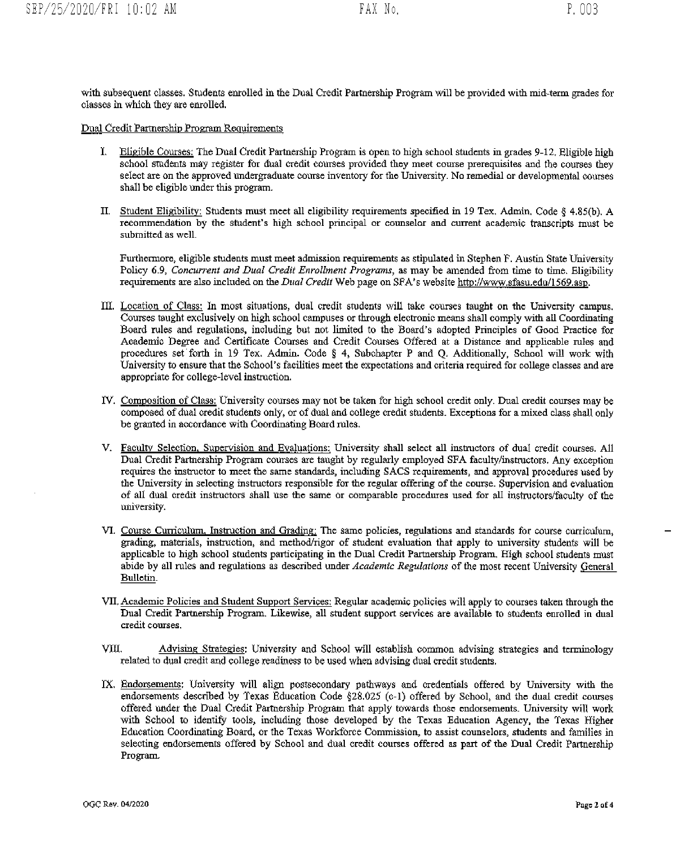with subsequent classes. Students enrolled in the Dual Credit Partnership Program will be provided with mid-term grades for classes in which they are enrolled.

Dual Credit Partnership Program Reeuirements

- I. Eligible Courses: The Dual Credit Partnership Program is open to high school students in grades 9-12. Eligible high school students may register for dual credit courses provided they meet course prerequisites and the courses they select are on the approved undergraduate course inventory for the University. No remedial or developmental courses shall be eligible under this program.
- II. Student Eligibility: Students must meet all eligibility requirements specified in <sup>19</sup> Tex. Admin. Code § 4,85(b). A recommendation by the student's high school principal or counselor and current academic transcripts must be submitted as well.

Furthermore, eligible students must meet admission requirements as stipulated in Stephen F. Austin State University Policy 6.9, Concurrent and Dual Credit Enrollment Programs, as may be amended from time to time. Eligibility requirements are also included on the Dual Credit Web page on SPA's website http://www.sfasu.edu/1569.asp.

- III. Location of Class: In most situations, dual credit students will take courses taught on the University campus. Courses taught exclusively on high school campuses or through electronic means shall comply with all Coordinating Board rules and regulations, including but not limited to the Board's adopted Principles of Good Practice for Academic Degree and Certificate Courses and Credit Courses Offered at a Distance and applicable rules and procedures set forth in 19 Tex. Admit. Code § 4, Subchapter P and Q. Additionally, School will work with University to ensure that the School's facilities meet the expectations and criteria required for college classes and are appropriate for college-level instruction.
- IV. Composition of Class: University courses may not be taken for high school credit only. Dual credit courses may be composed of dual credit students only, or of dual and college credit students. Exceptions for a mixed class shall only be granted in accordance with Coordinating Board rules.
- V. Faculty Selection, Supervision and Evaluations: University shall select all instructors of dual credit courses. All Dual Credit Partnership Program courses are taught by regularly employed SPA faculty/instructors. My exception requires the instructor to meet the same standards, including SACS requirements, and approval procedures used by the University in selecting instructors responsible for the regular offering of the course. Supervision and evaluation of all dual credit instructors shall use the same or comparable procedures used for all instructors/faculty of the uiversity.
- VI. Course Curriculum, Instruction and Gradingj The same policies, regulations and standards for course curriculum, grading, materials, instruction, and method/rigor of student evaluation that apply to university students will be applicable to high school students participating in the Dual Credit Partnership Program. High school students must abide by all rules and regulations as described under Academic Regulations of the most recent University General Bulletin.
- VII. Academic Policies and Student Support Services: Regular academic policies will apply to courses taken through the Dual Credit Partnership Program. Likewise, all student support services are available to students enrolled in dual credit courses,
- VIII. Advising Strategies: University and School will establish common advising strategies and terminology related to dual credit and college readiness to be used when advising dual credit students.
- IX. Endorsements: University will align postsecondary pathways and credentials offered by University with the endorsements described by Texas Education Code §28.025 (c-l) offered by School, and the dual credit courses offered under the Dual Credit Partnership Program that apply towards those endorsements. University will work with School to identify tools, including those developed by the Texas Education Agency, the Texas Higher Education Coordinating Board, or the Texas Workforce Commission, to assist counselors, students and families in selecting endorsements offered by School and dual credit courses offered as part of the Dual Credit Partnership Program.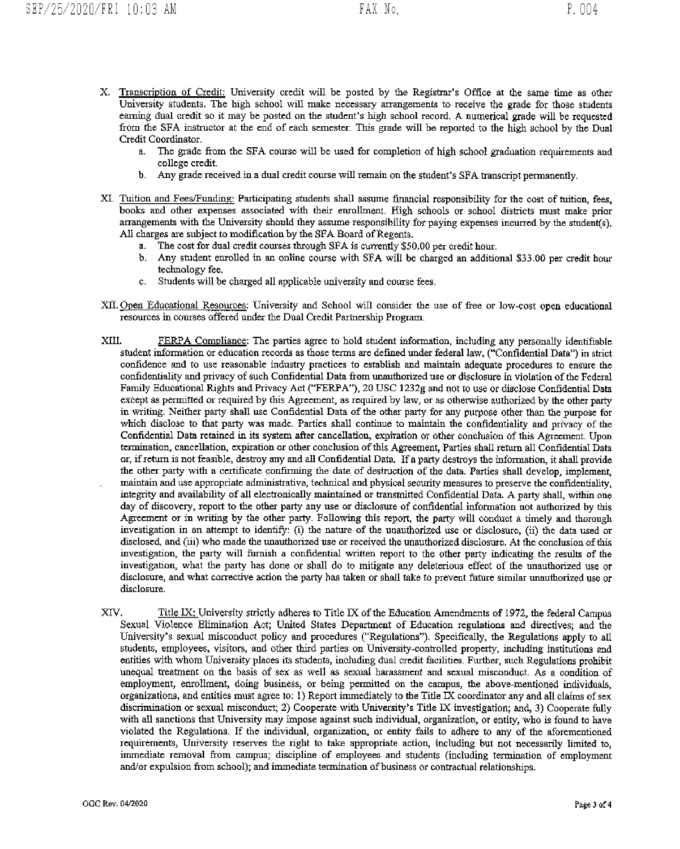- X. Transcription of Credit: University credit will be posted by the Registrar's Office at the same time as other University students. The high school will make necessary arrangements to receive the grade for those students earning dual credit so it may be posted on the student's high school record, A numerical grade will be requested from the SFA instructor at the end of each semester. This grade wilt be reported to the high school by the Dual Credit Coordinator.
	- a. The grade from the SFA course will be used for completion of high school graduation requirements and college credit.
	- b. Any grade received in a dual credit course will remain on the student's SPA transcript permanently.
- XI. Tuition and FeesJFunding: Participating students shall assume financial responsibility for the cost of tuition, fees, books and other expenses associated with their enrollment. High schools or school districts must make prior arrangements with the University should they assume responsibility for paying expenses incurred by the student(s). All charges are subject to modification by the SFA Board of Regents.
	- a. The cost for dual credit courses through SFA is currently \$50.00 per credit hour.
	- b. Any student enrolled in an online course with SPA will be charged an additional \$33.00 per credit hour technology fee.
	- c. Students will be charged all applicable university and course fees.
- XII. Open Educational Resources: University and School will consider the use of free or low-cost open educational resources in courses offered under the Dual Credit Partnership Program.
- XIII. PERPA Compliance: The parties agree to hold student information, including any personally identifiable student information or education records as those terms are defined under federal law, ("Confidential Data") in strict confidence and to use reasonable industry practices to establish and maintain adequate procedures to ensure the confidentiality and privacy of such Confidential Data from unauthorized use or disclosure in violation of the Federal Family Educational Rights and Privacy Act ("FERPA"), 20 USC l232g and not to use or disclose Confidential Data except as permitted or required by this Agreement, as required by law, or as otherwise authorized by the other party in writing. Neither party shall use Confidential Data of the other party for any purpose other than the purpose for which disclose to that party was made. Parties shall continue to maintain the confidentiality and privacy of the Confidential Data retained in its system after cancellation, expiration or other conclusion of this Agreement. Upon termination, cancellation, expiration or other conclusion of this Agreement, Parties shall return all Confidential Dnta or, if return is not feasible, destroy any and all Confidential Data. If a party destroys the information, it shall provide the other party with a certificate confirming the date of destruction of the data. Parties shall develop, implement, maintain and use appropriate administrative, technical and physical security measures to preserve the confidentiality, integrity and availability of all electronically maintained or transmitted Confidential Data. A party shall, within one day of discovery, report to the other party any use or disclosure of confidential information not authorized by this Agreement or in writing by the other party. Following this report, the party will conduct a timely and thorough investigation in an attempt to identify: (i) the nature of the unauthorized use or disclosure, (ii) the data used or disclosed, and (iii) who made the unauthorized use or received the unauthorized disclosure. At the conclusion of this investigation, the party will furnish a confidential written report to the other party indicating the results of the investigation, what the party has done or shall do to mitigate any deleterious effect of the unauthorized use or disclosure, and what corrective action the party has taken or shall take to prevent flirure similar unauthorized use or disclosure.
- XIV. Title IX: University strictly adheres to Title IX of the Education Amendments of 1972, the federal Campus Sexual Violence Elimination Act; United States Department of Education regulations and directives; and the University's sexual misconduct policy and procedures ("Regulations"). Specifically, the Regulations apply to all students, employees, visitors, and other third parties on University-controlled property, including institutions and entities with whom University places its students, including dual credit facilities. Further, such Regulations prohibit unequal treatment on the basis of sex as well as sexual harassment and sexual misconduct. As <sup>a</sup> condition of employment, enrollment, doing business. or being permitted on the campus, the above-mentioned individuals, organizations, and entities must agree to: 1) Report immediately to the Title IX coordinator any and all claims of sex discrimination or sexual misconduct; 2) Cooperate with University's Title IX investigation; and, 3) Cooperate fhlly with all sanctions that University may impose against such individual, organization, or entity, who is found to have violated the Regulations. If the individual, organization. or entity fails to adhere to any of the aforementioned requirements, University reserves the right to take appropriate action, including but not necessarily limited to, immediate removal from campus; discipline of employees and students (including termination of employment and/or expulsion from school); and immediate termination of business or contractual relationships.